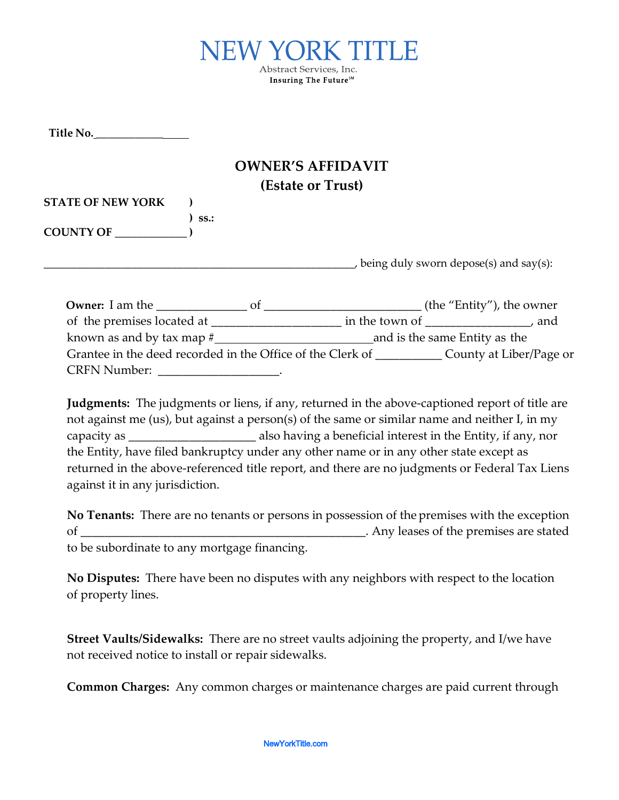

**Title No.** \_\_\_\_\_\_\_\_\_\_\_\_

## **OWNER'S AFFIDAVIT (Estate or Trust)**

| <b>STATE OF NEW YORK</b> |             |
|--------------------------|-------------|
|                          | $\sum$ ss.: |
| <b>COUNTY OF</b>         |             |

, being duly sworn depose(s) and say(s):

| <b>Owner:</b> I am the<br>Ωt                               | (the "Entity"), the owner     |
|------------------------------------------------------------|-------------------------------|
| of the premises located at _                               | in the town of<br>and         |
| known as and by tax map $#$                                | and is the same Entity as the |
| Grantee in the deed recorded in the Office of the Clerk of | County at Liber/Page or       |
| <b>CRFN Number:</b>                                        |                               |

**Judgments:** The judgments or liens, if any, returned in the above-captioned report of title are not against me (us), but against a person(s) of the same or similar name and neither I, in my capacity as \_\_\_\_\_\_\_\_\_\_\_\_\_\_\_\_\_\_\_\_\_ also having a beneficial interest in the Entity, if any, nor the Entity, have filed bankruptcy under any other name or in any other state except as returned in the above-referenced title report, and there are no judgments or Federal Tax Liens against it in any jurisdiction.

**No Tenants:** There are no tenants or persons in possession of the premises with the exception of \_\_\_\_\_\_\_\_\_\_\_\_\_\_\_\_\_\_\_\_\_\_\_\_\_\_\_\_\_\_\_\_\_\_\_\_\_\_\_\_\_\_\_\_\_\_\_. Any leases of the premises are stated to be subordinate to any mortgage financing.

**No Disputes:** There have been no disputes with any neighbors with respect to the location of property lines.

**Street Vaults/Sidewalks:** There are no street vaults adjoining the property, and I/we have not received notice to install or repair sidewalks.

**Common Charges:** Any common charges or maintenance charges are paid current through